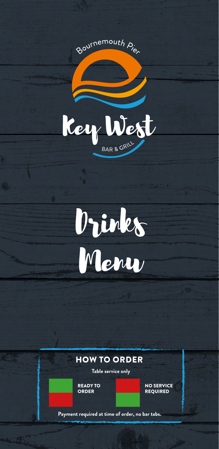



#### HOW TO ORDER

**Table service only**

READY TO ORDER

NO SERVICE REQUIRED

**Payment required at time of order, no bar tabs.**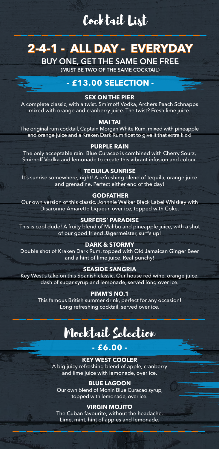## Cocktail List

## **2-4-1 - ALL DAY - EVERYDAY**

**BUY ONE, GET THE SAME ONE FREE**

**(MUST BE TWO OF THE SAME COCKTAIL)**

#### **- £13.00 SELECTION -**

#### **SEX ON THE PIER**

A complete classic, with a twist. Smirnoff Vodka, Archers Peach Schnapps mixed with orange and cranberry juice. The twist? Fresh lime juice.

#### **MAI TAI**

The original rum cocktail, Captain Morgan White Rum, mixed with pineapple and orange juice and a Kraken Dark Rum float to give it that extra kick!

#### **PURPLE RAIN**

The only acceptable rain! Blue Curacao is combined with Cherry Sourz, Smirnoff Vodka and lemonade to create this vibrant infusion and colour.

#### **TEQUILA SUNRISE**

It's sunrise somewhere, right! A refreshing blend of tequila, orange juice and grenadine. Perfect either end of the day!

#### **GODFATHER**

Our own version of this classic. Johnnie Walker Black Label Whiskey with Disaronno Amaretto Liqueur, over ice, topped with Coke.

#### **SURFERS' PARADISE**

This is cool dude! A fruity blend of Malibu and pineapple juice, with a shot of our good friend Jägermeister, surf's up!

#### **DARK & STORMY**

Double shot of Kraken Dark Rum, topped with Old Jamaican Ginger Beer and a hint of lime juice. Real punchy!

#### **SEASIDE SANGRIA**

Key West's take on this Spanish classic. Our house red wine, orange juice, dash of sugar syrup and lemonade, served long over ice.

#### **PIMM'S NO.1**

This famous British summer drink, perfect for any occasion! Long refreshing cocktail, served over ice.

## Mocktail Selection

#### **- £6.00 -**

**KEY WEST COOLER** A big juicy refreshing blend of apple, cranberry and lime juice with lemonade, over ice.

#### **BLUE LAGOON**

Our own blend of Monin Blue Curacao syrup, topped with lemonade, over ice.

#### **VIRGIN MOJITO**

The Cuban favourite, without the headache. Lime, mint, hint of apples and lemonade.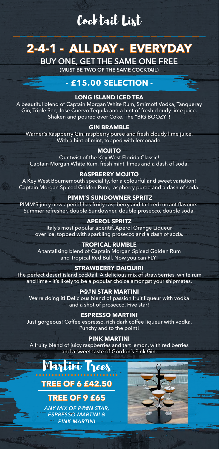# Cocktail List

# **2-4-1 - ALL DAY - EVERYDAY**

**BUY ONE, GET THE SAME ONE FREE**

**(MUST BE TWO OF THE SAME COCKTAIL)**

#### **- £15.00 SELECTION -**

#### **LONG ISLAND ICED TEA**

A beautiful blend of Captain Morgan White Rum, Smirnoff Vodka, Tanqueray Gin, Triple Sec, Jose Cuervo Tequila and a hint of fresh cloudy lime juice. Shaken and poured over Coke. The "BIG BOOZY"!

#### **GIN BRAMBLE**

Warner's Raspberry Gin, raspberry puree and fresh cloudy lime juice. With a hint of mint, topped with lemonade.

#### **MOJITO**

Our twist of the Key West Florida Classic! Captain Morgan White Rum, fresh mint, limes and a dash of soda.

#### **RASPBERRY MOJITO**

A Key West Bournemouth speciality, for a colourful and sweet variation! Captain Morgan Spiced Golden Rum, raspberry puree and a dash of soda.

#### **PIMM'S SUNDOWNER SPRITZ**

PIMM'S juicy new aperitif has fruity raspberry and tart redcurrant flavours. Summer refresher, double Sundowner, double prosecco, double soda.

#### **APEROL SPRITZ**

Italy's most popular aperitif. Aperol Orange Liqueur over ice, topped with sparkling prosecco and a dash of soda.

#### **TROPICAL RUMBLE**

A tantalising blend of Captain Morgan Spiced Golden Rum and Tropical Red Bull. Now you can FLY!

#### **STRAWBERRY DAIQUIRI**

The perfect desert island cocktail. A delicious mix of strawberries, white rum and lime – it's likely to be a popular choice amongst your shipmates.

#### **P@#N STAR MARTINI**

We're doing it! Delicious blend of passion fruit liqueur with vodka and a shot of prosecco. Five star!

#### **ESPRESSO MARTINI**

Just gorgeous! Coffee espresso, rich dark coffee liqueur with vodka. Punchy and to the point!

#### **PINK MARTINI**

A fruity blend of juicy raspberries and tart lemon, with red berries and a sweet taste of Gordon's Pink Gin.

### Martini Trees **TREE OF 6 £42.50**

### **TREE OF 9 £65**

*ANY MIX OF P@#N STAR, ESPRESSO MARTINI & PINK MARTINI*

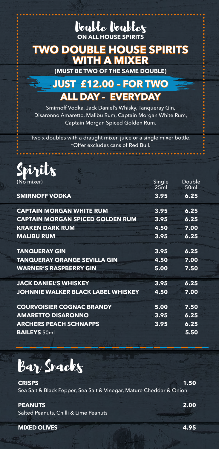### Double Doubles **ON ALL HOUSE SPIRITS**

### **TWO DOUBLE HOUSE SPIRITS WITH A MIXER**

**(MUST BE TWO OF THE SAME DOUBLE)**

### **JUST £12.00 – FOR TWO ALL DAY - EVERYDAY**

Smirnoff Vodka, Jack Daniel's Whisky, Tanqueray Gin, Disaronno Amaretto, Malibu Rum, Captain Morgan White Rum, Captain Morgan Spiced Golden Rum.

Two x doubles with a draught mixer, juice or a single mixer bottle. \*Offer excludes cans of Red Bull.



| (No mixer)                                | Single<br>25ml | Double<br>50ml |
|-------------------------------------------|----------------|----------------|
| <b>SMIRNOFF VODKA</b>                     | 3.95           | 6.25           |
| <b>CAPTAIN MORGAN WHITE RUM</b>           | 3.95           | 6.25           |
| <b>CAPTAIN MORGAN SPICED GOLDEN RUM</b>   | 3.95           | 6.25           |
| <b>KRAKEN DARK RUM</b>                    | 4.50           | 7.00           |
| <b>MALIBU RUM</b>                         | 3.95           | 6.25           |
| <b>TANQUERAY GIN</b>                      | 3.95           | 6.25           |
| <b>TANQUERAY ORANGE SEVILLA GIN</b>       | 4.50           | 7.00           |
| <b>WARNER'S RASPBERRY GIN</b>             | 5.00           | 7.50           |
| <b>JACK DANIEL'S WHISKEY</b>              | 3.95           | 6.25           |
| <b>JOHNNIE WALKER BLACK LABEL WHISKEY</b> | 4.50           | 7.00           |
| <b>COURVOISIER COGNAC BRANDY</b>          | 5.00           | 7.50           |
| <b>AMARETTO DISARONNO</b>                 | 3.95           | 6.25           |
| <b>ARCHERS PEACH SCHNAPPS</b>             | 3.95           | 6.25           |
| <b>BAILEYS 50ml</b>                       |                | 5.50           |

Bar Snacks

**CRISPS 1.50** Sea Salt & Black Pepper, Sea Salt & Vinegar, Mature Cheddar & Onion

#### **PEANUTS 2.00**

Salted Peanuts, Chilli & Lime Peanuts

**MIXED OLIVES 4.95**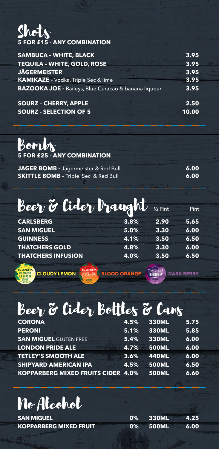# $\begin{matrix} 1 & 0 \\ 0 & 1 \end{matrix}$ <br>**5 FOR £15 - ANY COMBINATION**

| <b>SAMBUCA - WHITE, BLACK</b>                                   | 3.95 |
|-----------------------------------------------------------------|------|
| <b>TEQUILA - WHITE, GOLD, ROSE</b>                              | 3.95 |
| <b>JÄGERMEISTER</b>                                             | 3.95 |
| <b>KAMIKAZE - Vodka, Triple Sec &amp; lime</b>                  | 3.95 |
| <b>BAZOOKA JOE - Baileys, Blue Curacao &amp; banana liqueur</b> | 3.95 |
| <b>SOURZ - CHERRY, APPLE</b>                                    | 2.50 |

### **SOURZ - SELECTION OF 5 10.00**

Bombs **5 FOR £25 - ANY COMBINATION**

| JAGER BOMB - Jägermeister & Red Bull            | 6.00 |
|-------------------------------------------------|------|
| <b>SKITTLE BOMB - Triple Sec &amp; Red Bull</b> | 6.00 |

| Beer & Cider braught 12 Pint |                     |                  | Pint |
|------------------------------|---------------------|------------------|------|
| <b>CARLSBERG</b>             | 3.8%                | 2.90             | 5.65 |
| <b>SAN MIGUEL</b>            | 5.0%                | 3.30             | 6.00 |
| <b>GUINNESS</b>              | 4.1%                | 3.50             | 6.50 |
| <b>THATCHERS GOLD</b>        | 4.8%                | 3.30             | 6.00 |
| <b>THATCHERS INFUSION</b>    | 4.0%                | 3.50             | 6.50 |
|                              |                     |                  |      |
| <b>CLOUDY LEMON</b>          | <b>BLOOD ORANGE</b> | <b>ГНАТСНЕР!</b> |      |

# Beer & Cider Bottles & Cans

| <b>CORONA</b>                             | 4.5% | <b>330ML</b> | 5.75 |
|-------------------------------------------|------|--------------|------|
| <b>PERONI</b>                             | 5.1% | <b>330ML</b> | 5.85 |
| <b>SAN MIGUEL GLUTEN FREE</b>             | 5.4% | <b>330ML</b> | 6.00 |
| <b>LONDON PRIDE ALE</b>                   | 4.7% | <b>500ML</b> | 6.00 |
| <b>TETLEY'S SMOOTH ALE</b>                | 3.6% | <b>440ML</b> | 6.00 |
| <b>SHIPYARD AMERICAN IPA</b>              | 4.5% | <b>500ML</b> | 6.50 |
| <b>KOPPARBERG MIXED FRUITS CIDER 4.0%</b> |      | <b>500ML</b> | 6.60 |

# No Alcohol

| <b>SAN MIGUEL</b>             | 0% 330ML | 4.25 |
|-------------------------------|----------|------|
| <b>KOPPARBERG MIXED FRUIT</b> | 0% 500ML | 6.00 |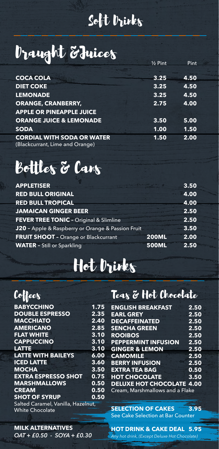# Soft Drinks

# Draught &Juices 1/2 Pint Pint

| $2$ FIN. |      |
|----------|------|
| 3.25     | 4.50 |
| 3.25     | 4.50 |
| 3.25     | 4.50 |
| 2.75     | 4.00 |
|          |      |
| 3.50     | 5.00 |
| 1.00     | 1.50 |
| 1.50     | 2.00 |
|          |      |

# Bottles & Cans

| <b>APPLETISER</b>                                 |              | 3.50 |
|---------------------------------------------------|--------------|------|
| <b>RED BULL ORIGINAL</b>                          |              | 4.00 |
| <b>RED BULL TROPICAL</b>                          |              | 4.00 |
| <b>JAMAICAN GINGER BEER</b>                       |              | 2.50 |
| FEVER TREE TONIC - Original & Slimline            |              | 2.50 |
| J20 - Apple & Raspberry or Orange & Passion Fruit |              | 3.50 |
| <b>FRUIT SHOOT - Orange or Blackcurrant</b>       | <b>200ML</b> | 2.00 |
| <b>WATER</b> - Still or Sparkling                 | <b>500ML</b> | 2.50 |

# Hot Drinks

### **Coffees**

| <b>BABYCCHINO</b>                  | 1.75              |
|------------------------------------|-------------------|
| <b>DOUBLE ESPRESSO</b>             | $2.\overline{35}$ |
| <b>MACCHIATO</b>                   | 2.40              |
| <b>AMERICANO</b>                   | 2.85              |
| <b>FLAT WHITE</b>                  | 3.10              |
| <b>CAPPUCCINO</b>                  | 3.10              |
| <b>LATTE</b>                       | 3.10              |
| <b>LATTE WITH BAILEYS</b>          | 6.00              |
| <b>ICED LATTE</b>                  | 3.60              |
| <b>MOCHA</b>                       | 3.50              |
| <b>EXTRA ESPRESSO SHOT</b>         | 0.75              |
| <b>MARSHMALLOWS</b>                | 0.50              |
| <b>CREAM</b>                       | 0.50              |
| <b>SHOT OF SYRUP</b>               | 0.50              |
| Salted Caramel, Vanilla, Hazelnut, |                   |
| <b>White Chocolate</b>             |                   |

### Teas & Hot Chocolate

| 5            | <b>ENGLISH BREAKFAST</b>                                | 2.50 |
|--------------|---------------------------------------------------------|------|
| 5            | <b>EARL GREY</b>                                        | 2.50 |
| $\bm{)}$     | <b>DECAFFEINATED</b>                                    | 2.50 |
| 5            | <b>SENCHA GREEN</b>                                     | 2.50 |
| $\mathbf{)}$ | <b>ROOIBOS</b>                                          | 2.50 |
| J            | <b>PEPPERMINT INFUSION</b>                              | 2.50 |
| $\mathbf{L}$ | <b>GINGER &amp; LEMON</b>                               | 2.50 |
| )            | <b>CAMOMILE</b>                                         | 2.50 |
| J            | <b>BERRY INFUSION</b>                                   | 2.50 |
| J            | <b>EXTRA TEA BAG</b>                                    | 0.50 |
| 5.           | <b>HOT CHOCOLATE</b>                                    | 3.50 |
|              | <b>DELUXE HOT CHOCOLATE 4.00</b>                        |      |
|              | <b>The Company's Company's Company's Company's</b><br>. |      |

Cream, Marshmallows and a Flake

#### **SELECTION OF CAKES 3.95**

See Cake Selection at Bar Counter

**MILK ALTERNATIVES**  *OAT + £0.50 - SOYA + £0.30*

**HOT DRINK & CAKE DEAL 5.95** *Any hot drink, (Except Deluxe Hot Chocolate)*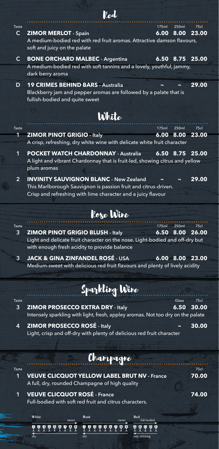| <b>Taste</b>   | 250ml<br>175ml                                                                                         | 75c   |
|----------------|--------------------------------------------------------------------------------------------------------|-------|
| $\mathsf{C}$   | <b>ZIMOR MERLOT - Spain</b><br>6.00<br>8.00                                                            | 23.00 |
|                | A medium-bodied red with red fruit aromas. Attractive damson flavours,<br>soft and juicy on the palate |       |
| $\mathsf{C}$   | <b>BONE ORCHARD MALBEC - Argentina</b><br>6.50<br>8.75                                                 | 25.00 |
|                | A medium-bodied red with soft tannins and a lovely, youthful, jammy,                                   |       |
|                | dark berry aroma                                                                                       |       |
| D              | <b>19 CRIMES BEHIND BARS - Australia</b>                                                               | 29.00 |
|                | Blackberry jam and pepper aromas are followed by a palate that is<br>fullish-bodied and quite sweet    |       |
|                | White                                                                                                  |       |
| Taste          | 175ml<br>250ml                                                                                         | 75cl  |
| 1              | <b>ZIMOR PINOT GRIGIO - Italy</b><br>$6.00\quad 8.00$                                                  | 23.00 |
|                | A crisp, refreshing, dry white wine with delicate white fruit character                                |       |
| $\mathbf 1$    | <b>POCKET WATCH CHARDONNAY - Australia</b><br>6.50<br>8.75                                             | 25.00 |
|                | A light and vibrant Chardonnay that is fruit-led, showing citrus and yellow                            |       |
|                | plum aromas                                                                                            |       |
| $\overline{2}$ | <b>INVINITY SAUVIGNON BLANC - New Zealand</b>                                                          | 29.00 |
|                | This Marlborough Sauvignon is passion fruit and citrus-driven.                                         |       |
|                | Crisp and refreshing with lime character and a juicy flavour                                           |       |
|                |                                                                                                        |       |
|                | kore Wine                                                                                              |       |
| <b>Taste</b>   | 250ml<br>175ml                                                                                         | 75c   |
| 3              | <b>ZIMOR PINOT GRIGIO BLUSH - Italy</b><br>6.50<br>8.00                                                | 26.00 |
|                | Light and delicate fruit character on the nose. Light-bodied and off-dry but                           |       |
|                | with enough fresh acidity to provide balance                                                           |       |
| 3              | <b>JACK &amp; GINA ZINFANDEL ROSÉ - USA</b><br>6.00 8.00                                               | 23.00 |
|                | Medium-sweet with delicious red fruit flavours and plenty of lively acidity                            |       |
|                |                                                                                                        |       |
|                | Sparkling Wine                                                                                         |       |
| <b>Taste</b>   | Glass                                                                                                  | 75cl  |
| 3              | <b>ZIMOR PROSECCO EXTRA DRY - Italy</b><br>6.50                                                        | 30.00 |
|                | Intensely sparkling with light, fresh, appley aromas. Not too dry on the palate                        |       |
| 4              | <b>ZIMOR PROSECCO ROSÉ - Italy</b>                                                                     | 30.00 |
|                | Light, crisp and off-dry with plenty of delicious red fruit character                                  |       |
|                |                                                                                                        |       |
|                |                                                                                                        |       |
|                | Champagne                                                                                              |       |
| Taste          |                                                                                                        | 75cl  |
| 1              | <b>VEUVE CLICQUOT YELLOW LABEL BRUT NV - France</b><br>A full, dry, rounded Champagne of high quality  | 70.00 |
| 1              | <b>VEUVE CLICQUOT ROSÉ - France</b>                                                                    | 74.00 |
|                | Full-bodied with soft red fruit and citrus characters.                                                 |       |
|                |                                                                                                        |       |
|                | White<br>Rosé<br>Red<br>full-bodied                                                                    |       |
|                | 19999999<br>19999999<br>0 Q<br>Ą                                                                       |       |
|                | $\overline{d}$ rv<br>$\overline{div}$<br>easy drinking                                                 |       |

Red